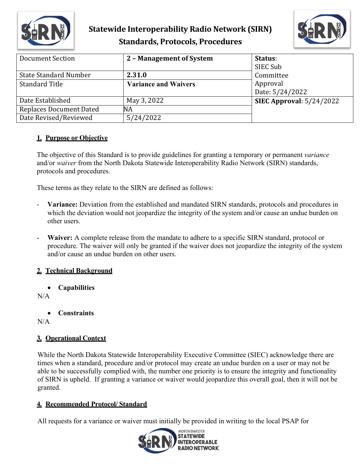

## **Statewide Interoperability Radio Network (SIRN) Standards, Protocols, Procedures**



| Document Section             | 2 - Management of System    | Status:                    |
|------------------------------|-----------------------------|----------------------------|
|                              |                             | SIEC Sub                   |
| <b>State Standard Number</b> | 2.31.0                      | Committee                  |
| <b>Standard Title</b>        | <b>Variance and Waivers</b> | Approval                   |
|                              |                             | Date: 5/24/2022            |
| Date Established             | May 3, 2022                 | SIEC Approval: $5/24/2022$ |
| Replaces Document Dated      | NA                          |                            |
| Date Revised/Reviewed        | 5/24/2022                   |                            |

### **1. Purpose or Objective**

The objective of this Standard is to provide guidelines for granting a temporary or permanent *variance*  and/or *waiver* from the North Dakota Statewide Interoperability Radio Network (SIRN) standards, protocols and procedures.

These terms as they relate to the SIRN are defined as follows:

- **Variance:** Deviation from the established and mandated SIRN standards, protocols and procedures in which the deviation would not jeopardize the integrity of the system and/or cause an undue burden on other users.
- **Waiver:** A complete release from the mandate to adhere to a specific SIRN standard, protocol or procedure. The waiver will only be granted if the waiver does not jeopardize the integrity of the system and/or cause an undue burden on other users.

### **2. Technical Background**

• **Capabilities**

### N/A

• **Constraints**

N/A

## **3. Operational Context**

While the North Dakota Statewide Interoperability Executive Committee (SIEC) acknowledge there are times when a standard, procedure and/or protocol may create an undue burden on a user or may not be able to be successfully complied with, the number one priority is to ensure the integrity and functionality of SIRN is upheld. If granting a variance or waiver would jeopardize this overall goal, then it will not be granted.

## **4. Recommended Protocol/ Standard**

All requests for a variance or waiver must initially be provided in writing to the local PSAP for

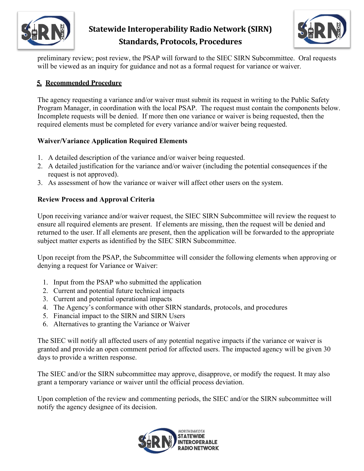

# **Statewide Interoperability Radio Network (SIRN) Standards, Protocols, Procedures**



preliminary review; post review, the PSAP will forward to the SIEC SIRN Subcommittee. Oral requests will be viewed as an inquiry for guidance and not as a formal request for variance or waiver.

### **5. Recommended Procedure**

The agency requesting a variance and/or waiver must submit its request in writing to the Public Safety Program Manager, in coordination with the local PSAP. The request must contain the components below. Incomplete requests will be denied. If more then one variance or waiver is being requested, then the required elements must be completed for every variance and/or waiver being requested.

### **Waiver/Variance Application Required Elements**

- 1. A detailed description of the variance and/or waiver being requested.
- 2. A detailed justification for the variance and/or waiver (including the potential consequences if the request is not approved).
- 3. As assessment of how the variance or waiver will affect other users on the system.

### **Review Process and Approval Criteria**

Upon receiving variance and/or waiver request, the SIEC SIRN Subcommittee will review the request to ensure all required elements are present. If elements are missing, then the request will be denied and returned to the user. If all elements are present, then the application will be forwarded to the appropriate subject matter experts as identified by the SIEC SIRN Subcommittee.

Upon receipt from the PSAP, the Subcommittee will consider the following elements when approving or denying a request for Variance or Waiver:

- 1. Input from the PSAP who submitted the application
- 2. Current and potential future technical impacts
- 3. Current and potential operational impacts
- 4. The Agency's conformance with other SIRN standards, protocols, and procedures
- 5. Financial impact to the SIRN and SIRN Users
- 6. Alternatives to granting the Variance or Waiver

The SIEC will notify all affected users of any potential negative impacts if the variance or waiver is granted and provide an open comment period for affected users. The impacted agency will be given 30 days to provide a written response.

The SIEC and/or the SIRN subcommittee may approve, disapprove, or modify the request. It may also grant a temporary variance or waiver until the official process deviation.

Upon completion of the review and commenting periods, the SIEC and/or the SIRN subcommittee will notify the agency designee of its decision.